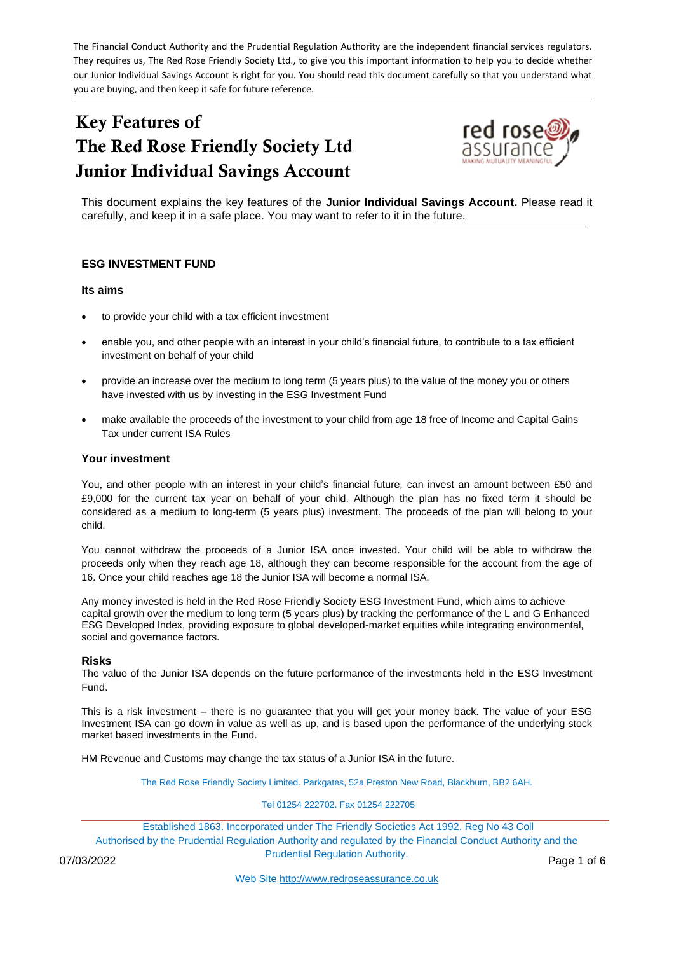The Financial Conduct Authority and the Prudential Regulation Authority are the independent financial services regulators. They requires us, The Red Rose Friendly Society Ltd., to give you this important information to help you to decide whether our Junior Individual Savings Account is right for you. You should read this document carefully so that you understand what you are buying, and then keep it safe for future reference.

# Key Features of The Red Rose Friendly Society Ltd Junior Individual Savings Account



This document explains the key features of the **Junior Individual Savings Account.** Please read it carefully, and keep it in a safe place. You may want to refer to it in the future.

## **ESG INVESTMENT FUND**

## **Its aims**

- to provide your child with a tax efficient investment
- enable you, and other people with an interest in your child's financial future, to contribute to a tax efficient investment on behalf of your child
- provide an increase over the medium to long term (5 years plus) to the value of the money you or others have invested with us by investing in the ESG Investment Fund
- make available the proceeds of the investment to your child from age 18 free of Income and Capital Gains Tax under current ISA Rules

#### **Your investment**

You, and other people with an interest in your child's financial future, can invest an amount between £50 and £9,000 for the current tax year on behalf of your child. Although the plan has no fixed term it should be considered as a medium to long-term (5 years plus) investment. The proceeds of the plan will belong to your child.

You cannot withdraw the proceeds of a Junior ISA once invested. Your child will be able to withdraw the proceeds only when they reach age 18, although they can become responsible for the account from the age of 16. Once your child reaches age 18 the Junior ISA will become a normal ISA.

Any money invested is held in the Red Rose Friendly Society ESG Investment Fund, which aims to achieve capital growth over the medium to long term (5 years plus) by tracking the performance of the L and G Enhanced ESG Developed Index, providing exposure to global developed-market equities while integrating environmental, social and governance factors.

#### **Risks**

The value of the Junior ISA depends on the future performance of the investments held in the ESG Investment Fund.

This is a risk investment – there is no guarantee that you will get your money back. The value of your ESG Investment ISA can go down in value as well as up, and is based upon the performance of the underlying stock market based investments in the Fund.

HM Revenue and Customs may change the tax status of a Junior ISA in the future.

The Red Rose Friendly Society Limited. Parkgates, 52a Preston New Road, Blackburn, BB2 6AH.

#### Tel 01254 222702. Fax 01254 222705

Established 1863. Incorporated under The Friendly Societies Act 1992. Reg No 43 Coll Authorised by the Prudential Regulation Authority and regulated by the Financial Conduct Authority and the Prudential Regulation Authority.

07/03/2022 **Page 1 of 6** Page 1 of 6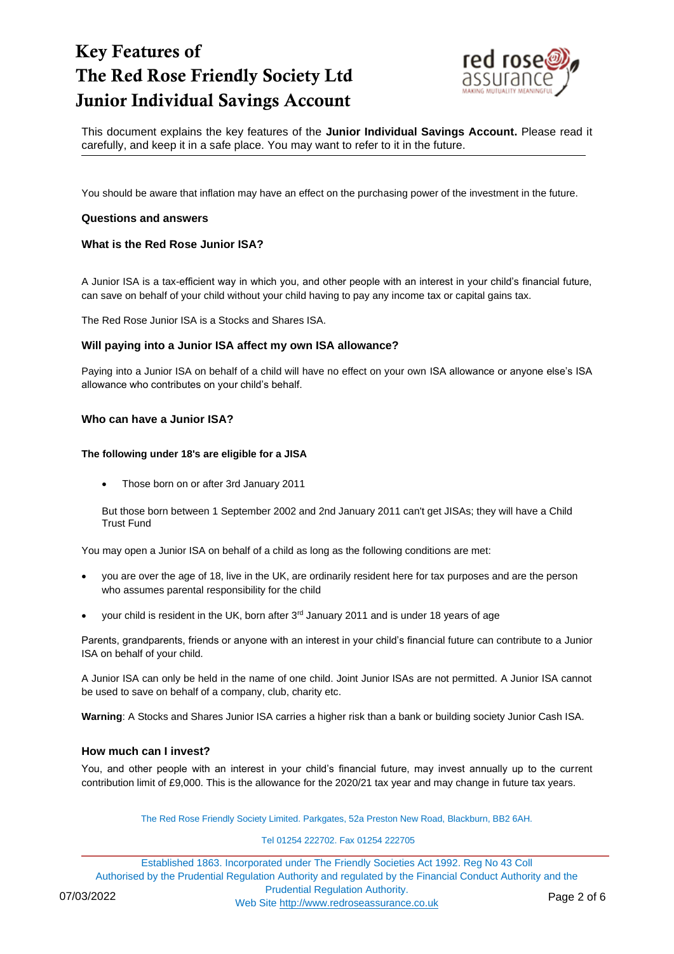

This document explains the key features of the **Junior Individual Savings Account.** Please read it carefully, and keep it in a safe place. You may want to refer to it in the future.

You should be aware that inflation may have an effect on the purchasing power of the investment in the future.

#### **Questions and answers**

#### **What is the Red Rose Junior ISA?**

A Junior ISA is a tax-efficient way in which you, and other people with an interest in your child's financial future, can save on behalf of your child without your child having to pay any income tax or capital gains tax.

The Red Rose Junior ISA is a Stocks and Shares ISA.

#### **Will paying into a Junior ISA affect my own ISA allowance?**

Paying into a Junior ISA on behalf of a child will have no effect on your own ISA allowance or anyone else's ISA allowance who contributes on your child's behalf.

#### **Who can have a Junior ISA?**

#### **The following under 18's are eligible for a JISA**

• Those born on or after 3rd January 2011

But those born between 1 September 2002 and 2nd January 2011 can't get JISAs; they will have a Child Trust Fund

You may open a Junior ISA on behalf of a child as long as the following conditions are met:

- you are over the age of 18, live in the UK, are ordinarily resident here for tax purposes and are the person who assumes parental responsibility for the child
- your child is resident in the UK, born after 3<sup>rd</sup> January 2011 and is under 18 years of age

Parents, grandparents, friends or anyone with an interest in your child's financial future can contribute to a Junior ISA on behalf of your child.

A Junior ISA can only be held in the name of one child. Joint Junior ISAs are not permitted. A Junior ISA cannot be used to save on behalf of a company, club, charity etc.

**Warning**: A Stocks and Shares Junior ISA carries a higher risk than a bank or building society Junior Cash ISA.

## **How much can I invest?**

You, and other people with an interest in your child's financial future, may invest annually up to the current contribution limit of £9,000. This is the allowance for the 2020/21 tax year and may change in future tax years.

The Red Rose Friendly Society Limited. Parkgates, 52a Preston New Road, Blackburn, BB2 6AH.

#### Tel 01254 222702. Fax 01254 222705

Established 1863. Incorporated under The Friendly Societies Act 1992. Reg No 43 Coll Authorised by the Prudential Regulation Authority and regulated by the Financial Conduct Authority and the Prudential Regulation Authority. 07/03/2022<br>Web Site [http://www.redroseassurance.co.uk](http://www.redroseassurance.co.uk/) Page 2 of 6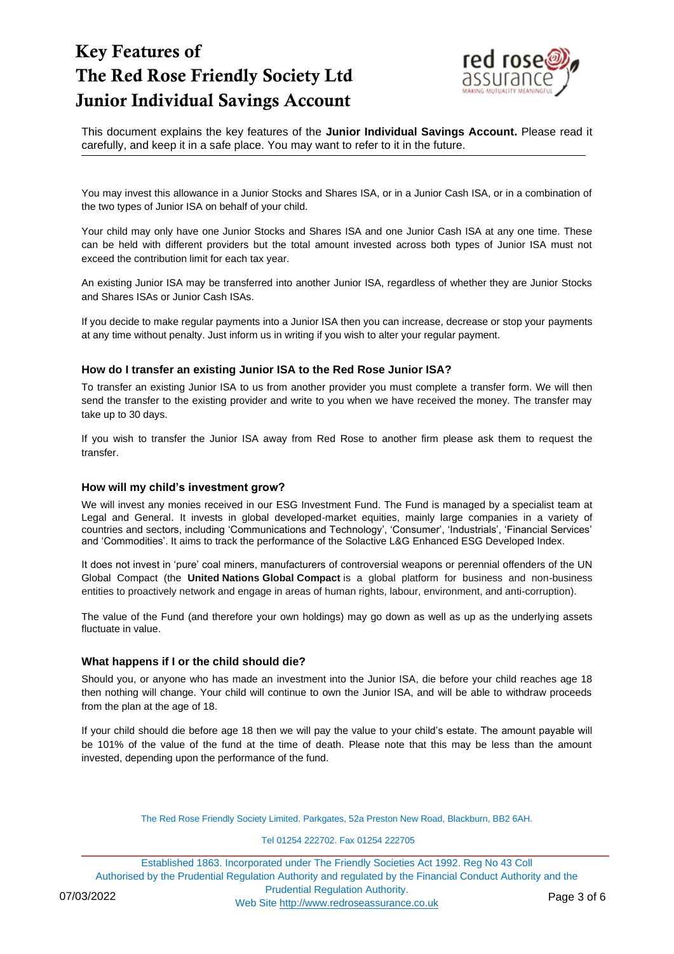

This document explains the key features of the **Junior Individual Savings Account.** Please read it carefully, and keep it in a safe place. You may want to refer to it in the future.

You may invest this allowance in a Junior Stocks and Shares ISA, or in a Junior Cash ISA, or in a combination of the two types of Junior ISA on behalf of your child.

Your child may only have one Junior Stocks and Shares ISA and one Junior Cash ISA at any one time. These can be held with different providers but the total amount invested across both types of Junior ISA must not exceed the contribution limit for each tax year.

An existing Junior ISA may be transferred into another Junior ISA, regardless of whether they are Junior Stocks and Shares ISAs or Junior Cash ISAs.

If you decide to make regular payments into a Junior ISA then you can increase, decrease or stop your payments at any time without penalty. Just inform us in writing if you wish to alter your regular payment.

## **How do I transfer an existing Junior ISA to the Red Rose Junior ISA?**

To transfer an existing Junior ISA to us from another provider you must complete a transfer form. We will then send the transfer to the existing provider and write to you when we have received the money. The transfer may take up to 30 days.

If you wish to transfer the Junior ISA away from Red Rose to another firm please ask them to request the transfer.

## **How will my child's investment grow?**

We will invest any monies received in our ESG Investment Fund. The Fund is managed by a specialist team at Legal and General. It invests in global developed-market equities, mainly large companies in a variety of countries and sectors, including 'Communications and Technology', 'Consumer', 'Industrials', 'Financial Services' and 'Commodities'. It aims to track the performance of the Solactive L&G Enhanced ESG Developed Index.

It does not invest in 'pure' coal miners, manufacturers of controversial weapons or perennial offenders of the UN Global Compact (the **United Nations Global Compact** is a global platform for business and non-business entities to proactively network and engage in areas of human rights, labour, environment, and anti-corruption).

The value of the Fund (and therefore your own holdings) may go down as well as up as the underlying assets fluctuate in value.

## **What happens if I or the child should die?**

Should you, or anyone who has made an investment into the Junior ISA, die before your child reaches age 18 then nothing will change. Your child will continue to own the Junior ISA, and will be able to withdraw proceeds from the plan at the age of 18.

If your child should die before age 18 then we will pay the value to your child's estate. The amount payable will be 101% of the value of the fund at the time of death. Please note that this may be less than the amount invested, depending upon the performance of the fund.

The Red Rose Friendly Society Limited. Parkgates, 52a Preston New Road, Blackburn, BB2 6AH.

#### Tel 01254 222702. Fax 01254 222705

Established 1863. Incorporated under The Friendly Societies Act 1992. Reg No 43 Coll Authorised by the Prudential Regulation Authority and regulated by the Financial Conduct Authority and the Prudential Regulation Authority. 07/03/2022 Web Site [http://www.redroseassurance.co.uk](http://www.redroseassurance.co.uk/) Page 3 of 6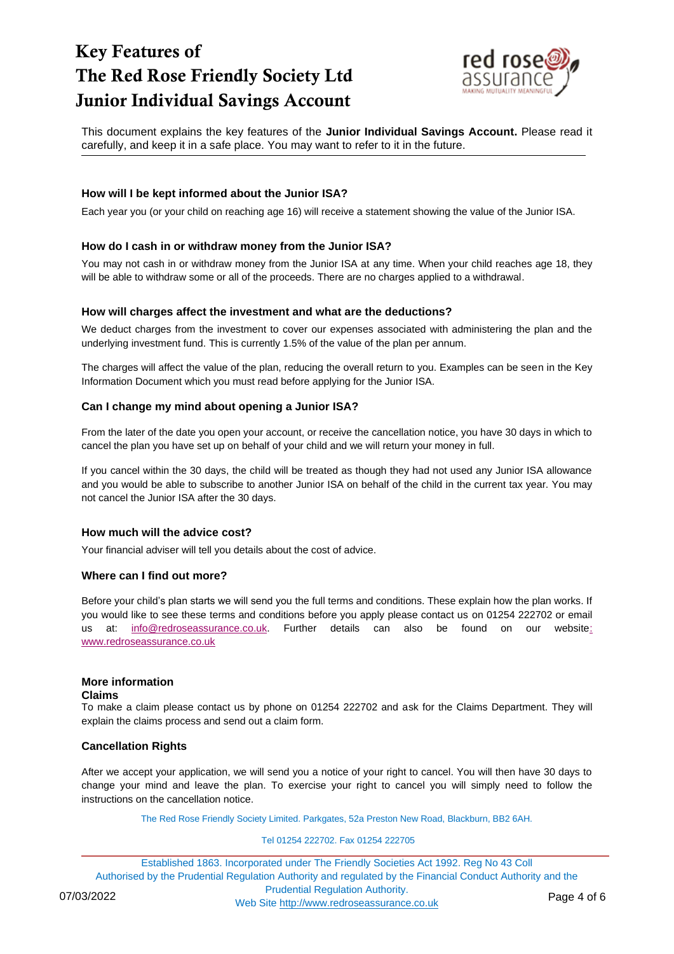

This document explains the key features of the **Junior Individual Savings Account.** Please read it carefully, and keep it in a safe place. You may want to refer to it in the future.

## **How will I be kept informed about the Junior ISA?**

Each year you (or your child on reaching age 16) will receive a statement showing the value of the Junior ISA.

## **How do I cash in or withdraw money from the Junior ISA?**

You may not cash in or withdraw money from the Junior ISA at any time. When your child reaches age 18, they will be able to withdraw some or all of the proceeds. There are no charges applied to a withdrawal.

## **How will charges affect the investment and what are the deductions?**

We deduct charges from the investment to cover our expenses associated with administering the plan and the underlying investment fund. This is currently 1.5% of the value of the plan per annum.

The charges will affect the value of the plan, reducing the overall return to you. Examples can be seen in the Key Information Document which you must read before applying for the Junior ISA.

## **Can I change my mind about opening a Junior ISA?**

From the later of the date you open your account, or receive the cancellation notice, you have 30 days in which to cancel the plan you have set up on behalf of your child and we will return your money in full.

If you cancel within the 30 days, the child will be treated as though they had not used any Junior ISA allowance and you would be able to subscribe to another Junior ISA on behalf of the child in the current tax year. You may not cancel the Junior ISA after the 30 days.

## **How much will the advice cost?**

Your financial adviser will tell you details about the cost of advice.

## **Where can I find out more?**

Before your child's plan starts we will send you the full terms and conditions. These explain how the plan works. If you would like to see these terms and conditions before you apply please contact us on 01254 222702 or email us at: [info@redroseassurance.co.uk.](mailto:info@redroseassurance.co.uk) Further details can also be found on our website: [www.redroseassurance.co.uk](http://www.redroseassurance.co.uk/)

## **More information**

#### **Claims**

To make a claim please contact us by phone on 01254 222702 and ask for the Claims Department. They will explain the claims process and send out a claim form.

## **Cancellation Rights**

After we accept your application, we will send you a notice of your right to cancel. You will then have 30 days to change your mind and leave the plan. To exercise your right to cancel you will simply need to follow the instructions on the cancellation notice.

The Red Rose Friendly Society Limited. Parkgates, 52a Preston New Road, Blackburn, BB2 6AH.

#### Tel 01254 222702. Fax 01254 222705

Established 1863. Incorporated under The Friendly Societies Act 1992. Reg No 43 Coll Authorised by the Prudential Regulation Authority and regulated by the Financial Conduct Authority and the Prudential Regulation Authority. 07/03/2022<br>Web Site [http://www.redroseassurance.co.uk](http://www.redroseassurance.co.uk/) Page 4 of 6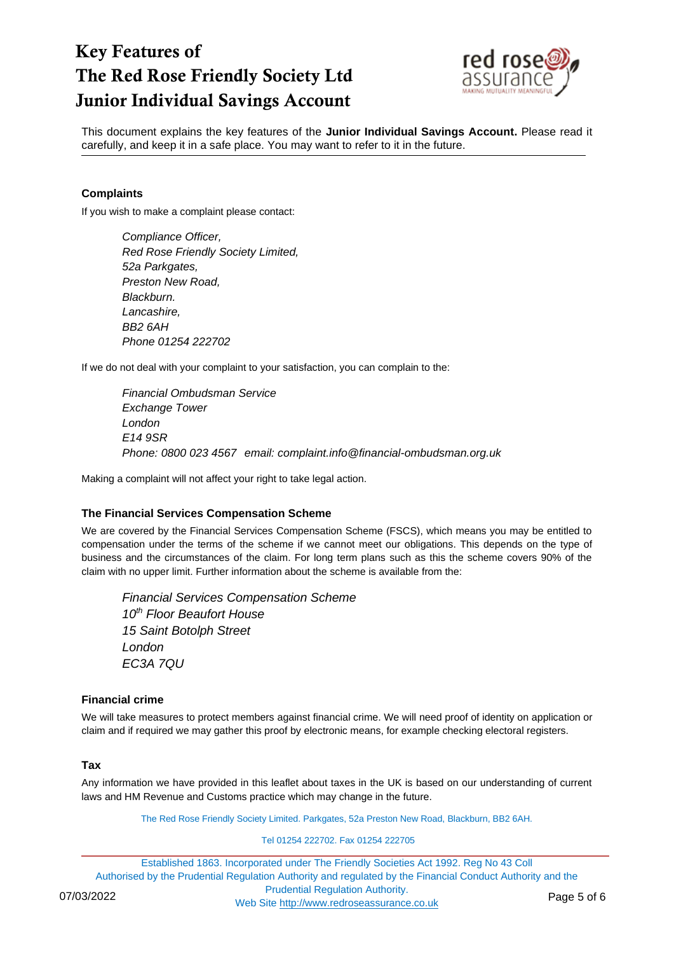

This document explains the key features of the **Junior Individual Savings Account.** Please read it carefully, and keep it in a safe place. You may want to refer to it in the future.

## **Complaints**

If you wish to make a complaint please contact:

*Compliance Officer, Red Rose Friendly Society Limited, 52a Parkgates, Preston New Road, Blackburn. Lancashire, BB2 6AH Phone 01254 222702*

If we do not deal with your complaint to your satisfaction, you can complain to the:

*Financial Ombudsman Service Exchange Tower London E14 9SR Phone: 0800 023 4567 email: complaint.info@financial-ombudsman.org.uk*

Making a complaint will not affect your right to take legal action.

## **The Financial Services Compensation Scheme**

We are covered by the Financial Services Compensation Scheme (FSCS), which means you may be entitled to compensation under the terms of the scheme if we cannot meet our obligations. This depends on the type of business and the circumstances of the claim. For long term plans such as this the scheme covers 90% of the claim with no upper limit. Further information about the scheme is available from the:

*Financial Services Compensation Scheme 10th Floor Beaufort House 15 Saint Botolph Street London EC3A 7QU*

## **Financial crime**

We will take measures to protect members against financial crime. We will need proof of identity on application or claim and if required we may gather this proof by electronic means, for example checking electoral registers.

## **Tax**

Any information we have provided in this leaflet about taxes in the UK is based on our understanding of current laws and HM Revenue and Customs practice which may change in the future.

The Red Rose Friendly Society Limited. Parkgates, 52a Preston New Road, Blackburn, BB2 6AH.

#### Tel 01254 222702. Fax 01254 222705

Established 1863. Incorporated under The Friendly Societies Act 1992. Reg No 43 Coll Authorised by the Prudential Regulation Authority and regulated by the Financial Conduct Authority and the Prudential Regulation Authority. 07/03/2022 Web Site [http://www.redroseassurance.co.uk](http://www.redroseassurance.co.uk/) Page 5 of 6